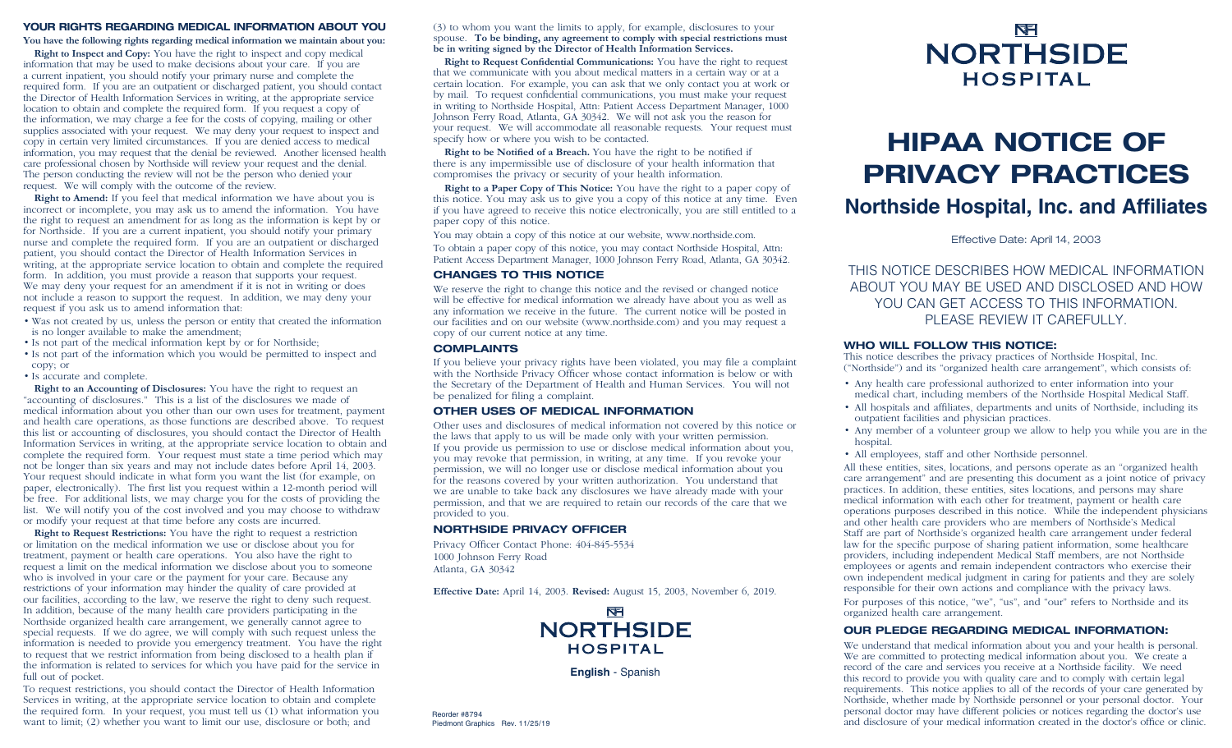### YOUR RIGHTS REGARDING MEDICAL INFORMATION ABOUT YOU

### **You have the following rights regarding medical information we maintain about you:**

**Right to Inspect and Copy:** You have the right to inspect and copy medical information that may be used to make decisions about your care. If you are a current inpatient, you should notify your primary nurse and complete the required form. If you are an outpatient or discharged patient, you should contact the Director of Health Information Services in writing, at the appropriate service location to obtain and complete the required form. If you request a copy of the information, we may charge a fee for the costs of copying, mailing or other supplies associated with your request. We may deny your request to inspect and copy in certain very limited circumstances. If you are denied access to medical information, you may request that the denial be reviewed. Another licensed health care professional chosen by Northside will review your request and the denial. The person conducting the review will not be the person who denied your request. We will comply with the outcome of the review.

**Right to Amend:** If you feel that medical information we have about you is incorrect or incomplete, you may ask us to amend the information. You have the right to request an amendment for as long as the information is kept by or for Northside. If you are a current inpatient, you should notify your primary nurse and complete the required form. If you are an outpatient or discharged patient, you should contact the Director of Health Information Services in writing, at the appropriate service location to obtain and complete the required form. In addition, you must provide a reason that supports your request. We may deny your request for an amendment if it is not in writing or does not include a reason to support the request. In addition, we may deny your request if you ask us to amend information that:

- Was not created by us, unless the person or entity that created the information is no longer available to make the amendment;
- Is not part of the medical information kept by or for Northside;
- Is not part of the information which you would be permitted to inspect and copy; or
- Is accurate and complete.

**Right to an Accounting of Disclosures:** You have the right to request an "accounting of disclosures." This is a list of the disclosures we made of medical information about you other than our own uses for treatment, payment and health care operations, as those functions are described above. To request this list or accounting of disclosures, you should contact the Director of Health Information Services in writing, at the appropriate service location to obtain and complete the required form. Your request must state a time period which may not be longer than six years and may not include dates before April 14, 2003. Your request should indicate in what form you want the list (for example, on paper, electronically). The first list you request within a 12-month period will be free. For additional lists, we may charge you for the costs of providing the list. We will notify you of the cost involved and you may choose to withdraw or modify your request at that time before any costs are incurred.

**Right to Request Restrictions:** You have the right to request a restriction or limitation on the medical information we use or disclose about you for treatment, payment or health care operations. You also have the right to request a limit on the medical information we disclose about you to someone who is involved in your care or the payment for your care. Because any restrictions of your information may hinder the quality of care provided at our facilities, according to the law, we reserve the right to deny such request. In addition, because of the many health care providers participating in the Northside organized health care arrangement, we generally cannot agree to special requests. If we do agree, we will comply with such request unless the information is needed to provide you emergency treatment. You have the right to request that we restrict information from being disclosed to a health plan if the information is related to services for which you have paid for the service in full out of pocket.

To request restrictions, you should contact the Director of Health Information Services in writing, at the appropriate service location to obtain and complete the required form. In your request, you must tell us (1) what information you the required form. In your request, you must tell us  $(1)$  what information you all provider #8794 want to limit;  $(2)$  whether you want to limit our use, disclosure or both; and Piedmont Graph

(3) to whom you want the limits to apply, for example, disclosures to your spouse. **To be binding, any agreement to comply with special restrictions must be in writing signed by the Director of Health Information Services.** 

**Right to Request Confidential Communications:** You have the right to request that we communicate with you about medical matters in a certain way or at a certain location. For example, you can ask that we only contact you at work or by mail. To request confidential communications, you must make your request in writing to Northside Hospital, Attn: Patient Access Department Manager, 1000 Johnson Ferry Road, Atlanta, GA 30342. We will not ask you the reason for your request. We will accommodate all reasonable requests. Your request must specify how or where you wish to be contacted.

**Right to be Notified of a Breach.** You have the right to be notified if there is any impermissible use of disclosure of your health information that compromises the privacy or security of your health information.

**Right to a Paper Copy of This Notice:** You have the right to a paper copy of this notice. You may ask us to give you a copy of this notice at any time. Even if you have agreed to receive this notice electronically, you are still entitled to a paper copy of this notice.

You may obtain a copy of this notice at our website, www.northside.com. To obtain a paper copy of this notice, you may contact Northside Hospital, Attn:

Patient Access Department Manager, 1000 Johnson Ferry Road, Atlanta, GA 30342.

### CHANGES TO THIS NOTICE

We reserve the right to change this notice and the revised or changed notice will be effective for medical information we already have about you as well as any information we receive in the future. The current notice will be posted in our facilities and on our website (www.northside.com) and you may request a copy of our current notice at any time.

### COMPLAINTS

If you believe your privacy rights have been violated, you may file a complaint with the Northside Privacy Officer whose contact information is below or with the Secretary of the Department of Health and Human Services. You will not be penalized for filing a complaint.

### OTHER USES OF MEDICAL INFORMATION

Other uses and disclosures of medical information not covered by this notice or the laws that apply to us will be made only with your written permission. If you provide us permission to use or disclose medical information about you, you may revoke that permission, in writing, at any time. If you revoke your permission, we will no longer use or disclose medical information about you for the reasons covered by your written authorization. You understand that we are unable to take back any disclosures we have already made with your permission, and that we are required to retain our records of the care that we provided to you.

### NORTHSIDE PRIVACY OFFICER

Privacy Officer Contact Phone: 404-845-5534 1000 Johnson Ferry Road Atlanta, GA 30342

**Effective Date:** April 14, 2003. **Revised:** August 15, 2003, November 6, 2019.



**English** - Spanish

Piedmont Graphics Rev. 11/25/19

## **NFI NORTHSIDE HOSPITAL**

# HIPAA NOTICE OF PRIVACY PRACTICES

### **Northside Hospital, Inc. and Affiliates**

Effective Date: April 14, 2003

THIS NOTICE DESCRIBES HOW MEDICAL INFORMATION ABOUT YOU MAY BE USED AND DISCLOSED AND HOW YOU CAN GET ACCESS TO THIS INFORMATION. PLEASE REVIEW IT CAREFULLY.

### WHO WILL FOLLOW THIS NOTICE:

This notice describes the privacy practices of Northside Hospital, Inc. ("Northside") and its "organized health care arrangement", which consists of:

- Any health care professional authorized to enter information into your medical chart, including members of the Northside Hospital Medical Staff.
- All hospitals and affiliates, departments and units of Northside, including its outpatient facilities and physician practices.
- Any member of a volunteer group we allow to help you while you are in the hospital.
- All employees, staff and other Northside personnel.

All these entities, sites, locations, and persons operate as an "organized health care arrangement" and are presenting this document as a joint notice of privacy practices. In addition, these entities, sites locations, and persons may share medical information with each other for treatment, payment or health care operations purposes described in this notice. While the independent physicians and other health care providers who are members of Northside's Medical Staff are part of Northside's organized health care arrangement under federal law for the specific purpose of sharing patient information, some healthcare providers, including independent Medical Staff members, are not Northside employees or agents and remain independent contractors who exercise their own independent medical judgment in caring for patients and they are solely responsible for their own actions and compliance with the privacy laws.

For purposes of this notice, "we", "us", and "our" refers to Northside and its organized health care arrangement.

### OUR PLEDGE REGARDING MEDICAL INFORMATION:

We understand that medical information about you and your health is personal. We are committed to protecting medical information about you. We create a record of the care and services you receive at a Northside facility. We need this record to provide you with quality care and to comply with certain legal requirements. This notice applies to all of the records of your care generated by Northside, whether made by Northside personnel or your personal doctor. Your personal doctor may have different policies or notices regarding the doctor's use and disclosure of your medical information created in the doctor's office or clinic.